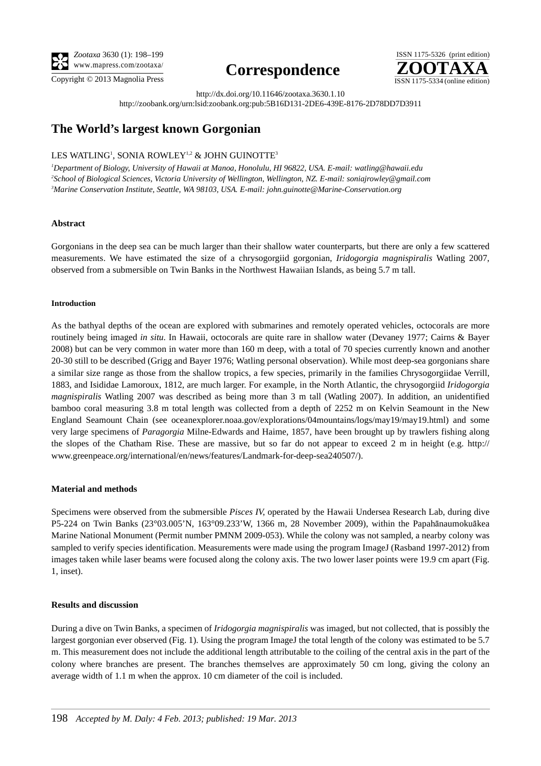**TERMS OF USE This pdf is provided by Magnolia Press for private/research use. Commercial sale or deposition in a public library or website is prohibited.**



**Correspondence**



http://dx.doi.org/10.11646/zootaxa.3630.1.10

http://zoobank.org/urn:lsid:zoobank.org:pub:5B16D131-2DE6-439E-8176-2D78DD7D3911

# **The World's largest known Gorgonian**

## LES WATLING<sup>!</sup>, SONIA ROWLEY<sup>!,2</sup> & JOHN GUINOTTE<sup>3</sup>

*1 Department of Biology, University of Hawaii at Manoa, Honolulu, HI 96822, USA. E-mail: [watling@hawaii.edu](mailto:watling@hawaii.edu) 2 School of Biological Sciences, Victoria University of Wellington, Wellington, NZ. E-mail: [soniajrowley@gmail.com](mailto:soniajrowley@gmail.com) 3 Marine Conservation Institute, Seattle, WA 98103, USA. E-mail: [john.guinotte@Marine-Conservation.org](mailto:)*

## **Abstract**

Gorgonians in the deep sea can be much larger than their shallow water counterparts, but there are only a few scattered measurements. We have estimated the size of a chrysogorgiid gorgonian, *Iridogorgia magnispiralis* Watling 2007, observed from a submersible on Twin Banks in the Northwest Hawaiian Islands, as being 5.7 m tall.

#### **Introduction**

As the bathyal depths of the ocean are explored with submarines and remotely operated vehicles, octocorals are more routinely being imaged *in situ*. In Hawaii, octocorals are quite rare in shallow water (Devaney 1977; Cairns & Bayer 2008) but can be very common in water more than 160 m deep, with a total of 70 species currently known and another 20-30 still to be described (Grigg and Bayer 1976; Watling personal observation). While most deep-sea gorgonians share a similar size range as those from the shallow tropics, a few species, primarily in the families Chrysogorgiidae Verrill, 1883, and Isididae Lamoroux, 1812, are much larger. For example, in the North Atlantic, the chrysogorgiid *Iridogorgia magnispiralis* Watling 2007 was described as being more than 3 m tall (Watling 2007). In addition, an unidentified bamboo coral measuring 3.8 m total length was collected from a depth of 2252 m on Kelvin Seamount in the New England Seamount Chain (see oceanexplorer.noaa.gov/explorations/04mountains/logs/may19/may19.html) and some very large specimens of *Paragorgia* Milne-Edwards and Haime, 1857, have been brought up by trawlers fishing along the slopes of the Chatham Rise. These are massive, but so far do not appear to exceed 2 m in height (e.g. http:// www.greenpeace.org/international/en/news/features/Landmark-for-deep-sea240507/).

## **Material and methods**

Specimens were observed from the submersible *Pisces IV*, operated by the Hawaii Undersea Research Lab, during dive P5-224 on Twin Banks (23°03.005'N, 163°09.233'W, 1366 m, 28 November 2009), within the Papahānaumokuākea Marine National Monument (Permit number PMNM 2009-053). While the colony was not sampled, a nearby colony was sampled to verify species identification. Measurements were made using the program ImageJ (Rasband 1997-2012) from images taken while laser beams were focused along the colony axis. The two lower laser points were 19.9 cm apart (Fig. 1, inset).

## **Results and discussion**

During a dive on Twin Banks, a specimen of *Iridogorgia magnispiralis* was imaged, but not collected, that is possibly the largest gorgonian ever observed (Fig. 1). Using the program ImageJ the total length of the colony was estimated to be 5.7 m. This measurement does not include the additional length attributable to the coiling of the central axis in the part of the colony where branches are present. The branches themselves are approximately 50 cm long, giving the colony an average width of 1.1 m when the approx. 10 cm diameter of the coil is included.